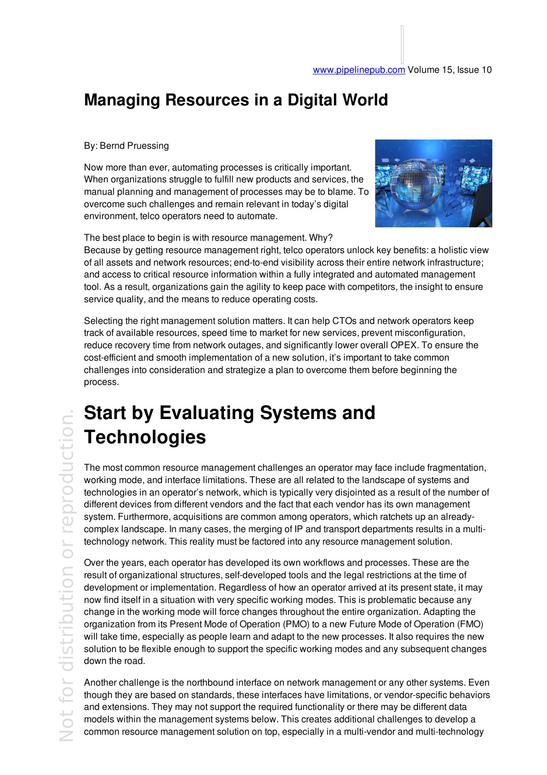### **Managing Resources in a Digital World**

#### By: Bernd Pruessing

Now more than ever, automating processes is critically important. When organizations struggle to fulfill new products and services, the manual planning and management of processes may be to blame. To overcome such challenges and remain relevant in today's digital environment, telco operators need to automate.



The best place to begin is with resource management. Why?

Because by getting resource management right, telco operators unlock key benefits: a holistic view of all assets and network resources; end-to-end visibility across their entire network infrastructure; and access to critical resource information within a fully integrated and automated management tool. As a result, organizations gain the agility to keep pace with competitors, the insight to ensure service quality, and the means to reduce operating costs.

Selecting the right management solution matters. It can help CTOs and network operators keep track of available resources, speed time to market for new services, prevent misconfiguration, reduce recovery time from network outages, and significantly lower overall OPEX. To ensure the cost-efficient and smooth implementation of a new solution, it's important to take common challenges into consideration and strategize a plan to overcome them before beginning the process.

### o $\overline{\phantom{a}}$  $\Theta$  $\frac{15}{15}$  a  $\overline{\phantom{a}}$  $\frac{1}{\sqrt{2}}$  or  $\frac{1}{\sqrt{1}}$  de oe<br>C  $\Omega$ ro $\overline{\bigcirc}$  $\cup$  $\frac{\mathsf{o}}{\mathsf{t}}$  1 n.

### **Start by Evaluating Systems and Technologies**

The most common resource management challenges an operator may face include fragmentation, working mode, and interface limitations. These are all related to the landscape of systems and technologies in an operator's network, which is typically very disjointed as a result of the number of different devices from different vendors and the fact that each vendor has its own management system. Furthermore, acquisitions are common among operators, which ratchets up an already complex landscape. In many cases, the merging of IP and transport departments results in a multi technology network. This reality must be factored into any resource management solution.

Over the years, each operator has developed its own workflows and processes. These are the result of organizational structures, self-developed tools and the legal restrictions at the time of development or implementation. Regardless of how an operator arrived at its present state, it may now find itself in a situation with very specific working modes. This is problematic because any change in the working mode will force changes throughout the entire organization. Adapting the organization from its Present Mode of Operation (PMO) to a new Future Mode of Operation (FMO) will take time, especially as people learn and adapt to the new processes. It also requires the new solution to be flexible enough to support the specific working modes and any subsequent changes down the road.

Another challenge is the northbound interface on network management or any other systems. Even though they are based on standards, these interfaces have limitations, or vendor-specific behaviors and extensions. They may not support the required functionality or there may be different data models within the management systems below. This creates additional challenges to develop a common resource management solution on top, especially in a multi-vendor and multi-technology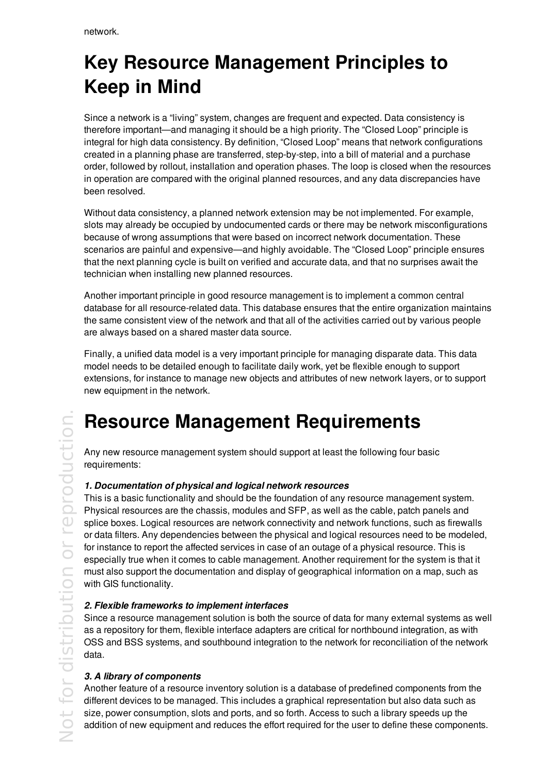network.

### **Key Resource Management Principles to Keep in Mind**

Since a network is a "living" system, changes are frequent and expected. Data consistency is therefore important—and managing it should be a high priority. The "Closed Loop" principle is integral for high data consistency. By definition, "Closed Loop" means that network configurations created in a planning phase are transferred, step-by-step, into a bill of material and a purchase order, followed by rollout, installation and operation phases. The loop is closed when the resources in operation are compared with the original planned resources, and any data discrepancies have been resolved.

Without data consistency, a planned network extension may be not implemented. For example, slots may already be occupied by undocumented cards or there may be network misconfigurations because of wrong assumptions that were based on incorrect network documentation. These scenarios are painful and expensive—and highly avoidable. The "Closed Loop" principle ensures that the next planning cycle is built on verified and accurate data, and that no surprises await the technician when installing new planned resources.

Another important principle in good resource management is to implement a common central database for all resource-related data. This database ensures that the entire organization maintains the same consistent view of the network and that all of the activities carried out by various people are always based on a shared master data source.

Finally, a unified data model is a very important principle for managing disparate data. This data model needs to be detailed enough to facilitate daily work, yet be flexible enough to support extensions, for instance to manage new objects and attributes of new network layers, or to support new equipment in the network.

### **Resource Management Requirements**

Any new resource management system should support at least the following four basic requirements:

#### *1. Documentation of physical and logical network resources*

This is a basic functionality and should be the foundation of any resource management system. Physical resources are the chassis, modules and SFP, as well as the cable, patch panels and splice boxes. Logical resources are network connectivity and network functions, such as firewalls or data filters. Any dependencies between the physical and logical resources need to be modeled, for instance to report the affected services in case of an outage of a physical resource. This is especially true when it comes to cable management. Another requirement for the system is that it must also support the documentation and display of geographical information on a map, such as with GIS functionality.

#### *2. Flexible frameworks to implement interfaces*

Since a resource management solution is both the source of data for many external systems as well as a repository for them, flexible interface adapters are critical for northbound integration, as with OSS and BSS systems, and southbound integration to the network for reconciliation of the network data.

#### *3. A library of components*

Another feature of a resource inventory solution is a database of predefined components from the different devices to be managed. This includes a graphical representation but also data such as size, power consumption, slots and ports, and so forth. Access to such a library speeds up the addition of new equipment and reduces the effort required for the user to define these components.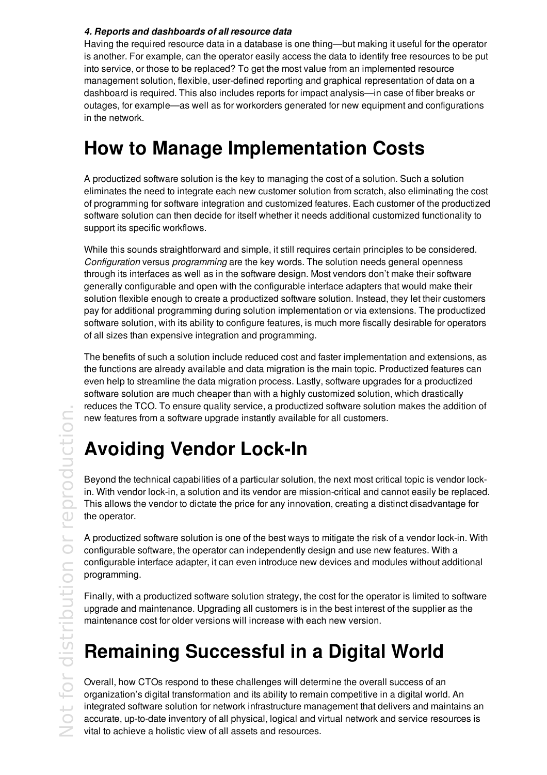#### *4. Reports and dashboards of all resource data*

Having the required resource data in a database is one thing—but making it useful for the operator is another. For example, can the operator easily access the data to identify free resources to be put into service, or those to be replaced? To get the most value from an implemented resource management solution, flexible, user-defined reporting and graphical representation of data on a dashboard is required. This also includes reports for impact analysis—in case of fiber breaks or outages, for example—as well as for workorders generated for new equipment and configurations in the network.

### **How to Manage Implementation Costs**

A productized software solution is the key to managing the cost of a solution. Such a solution eliminates the need to integrate each new customer solution from scratch, also eliminating the cost of programming for software integration and customized features. Each customer of the productized software solution can then decide for itself whether it needs additional customized functionality to support its specific workflows.

While this sounds straightforward and simple, it still requires certain principles to be considered. *Configuration* versus *programming* are the key words. The solution needs general openness through its interfaces as well as in the software design. Most vendors don't make their software generally configurable and open with the configurable interface adapters that would make their solution flexible enough to create a productized software solution. Instead, they let their customers pay for additional programming during solution implementation or via extensions. The productized software solution, with its ability to configure features, is much more fiscally desirable for operators of all sizes than expensive integration and programming.

The benefits of such a solution include reduced cost and faster implementation and extensions, as the functions are already available and data migration is the main topic. Productized features can even help to streamline the data migration process. Lastly, software upgrades for a productized software solution are much cheaper than with a highly customized solution, which drastically reduces the TCO. To ensure quality service, a productized software solution makes the addition of new features from a software upgrade instantly available for all customers.

# **Avoiding Vendor Lock-In**

Beyond the technical capabilities of a particular solution, the next most critical topic is vendor lock in. With vendor lock-in, a solution and its vendor are mission-critical and cannot easily be replaced. This allows the vendor to dictate the price for any innovation, creating a distinct disadvantage for the operator.

A productized software solution is one of the best ways to mitigate the risk of a vendor lock-in. With configurable software, the operator can independently design and use new features. With a configurable interface adapter, it can even introduce new devices and modules without additional programming.

Finally, with a productized software solution strategy, the cost for the operator is limited to software upgrade and maintenance. Upgrading all customers is in the best interest of the supplier as the maintenance cost for older versions will increase with each new version.

## **Remaining Successful in a Digital World**

Overall, how CTOs respond to these challenges will determine the overall success of an organization's digital transformation and its ability to remain competitive in a digital world. An integrated software solution for network infrastructure management that delivers and maintains an accurate, up-to-date inventory of all physical, logical and virtual network and service resources is vital to achieve a holistic view of all assets and resources.